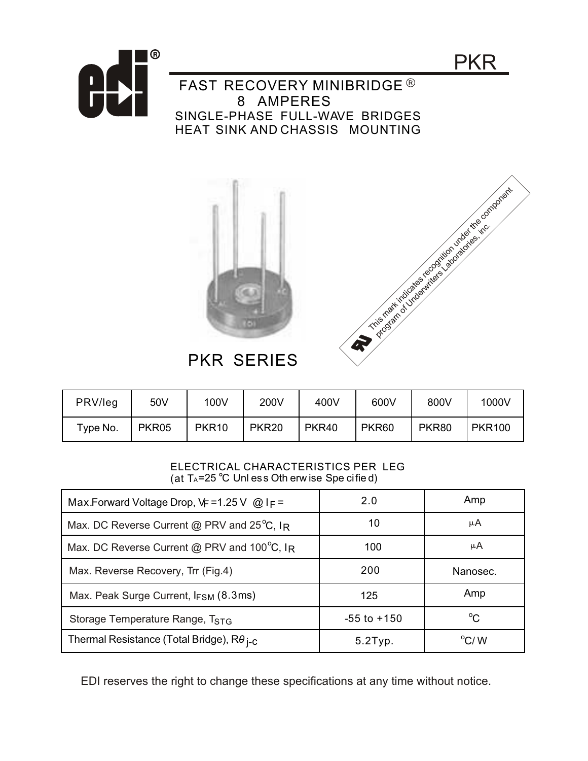





## PKR SERIES

| PRV/leg  | 50V   | 100V              | 200V         | 400V  | 600V         | 800V  | 1000V         |
|----------|-------|-------------------|--------------|-------|--------------|-------|---------------|
| Type No. | PKR05 | PKR <sub>10</sub> | <b>PKR20</b> | PKR40 | <b>PKR60</b> | PKR80 | <b>PKR100</b> |

## ELECTRICAL CHARACTERISTICS PER LEG (at  $T_A = 25$  °C Unl ess Oth erw ise Spe cified)

| Max.Forward Voltage Drop, $\sqrt{F} = 1.25 \text{ V}$ @ IF = | 2.0             | Amp          |
|--------------------------------------------------------------|-----------------|--------------|
| Max. DC Reverse Current @ PRV and $25^{\circ}$ C, IR         | 10              | μA           |
| Max. DC Reverse Current @ PRV and 100°C, IR                  | 100             | μA           |
| Max. Reverse Recovery, Trr (Fig.4)                           | 200             | Nanosec.     |
| Max. Peak Surge Current, $I_{FSM}$ (8.3ms)                   | 125             | Amp          |
| Storage Temperature Range, T <sub>STG</sub>                  | $-55$ to $+150$ | $^{\circ}C$  |
| Thermal Resistance (Total Bridge), $R\theta_{I-C}$           | $5.2$ Typ.      | $\rm ^o$ C/W |

EDI reserves the right to change these specifications at any time without notice.